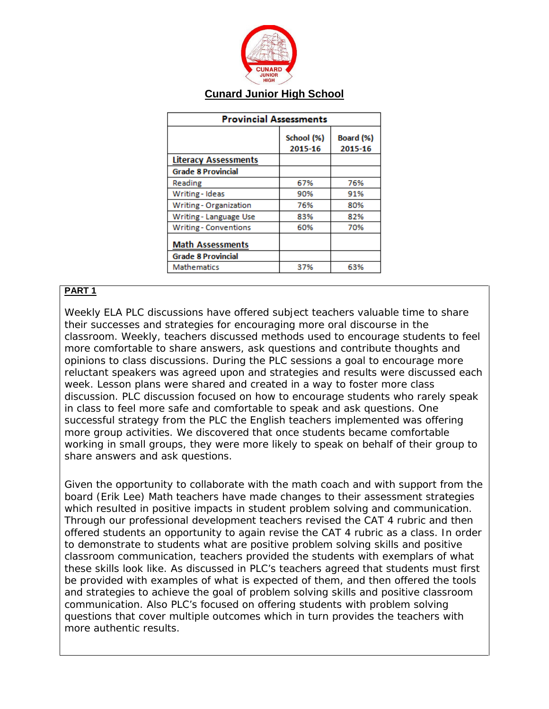

## **Cunard Junior High School**

| <b>Provincial Assessments</b> |                       |                      |
|-------------------------------|-----------------------|----------------------|
|                               | School (%)<br>2015-16 | Board (%)<br>2015-16 |
| <b>Literacy Assessments</b>   |                       |                      |
| <b>Grade 8 Provincial</b>     |                       |                      |
| Reading                       | 67%                   | 76%                  |
| Writing - Ideas               | 90%                   | 91%                  |
| Writing - Organization        | 76%                   | 80%                  |
| Writing - Language Use        | 83%                   | 82%                  |
| <b>Writing - Conventions</b>  | 60%                   | 70%                  |
| <b>Math Assessments</b>       |                       |                      |
| <b>Grade 8 Provincial</b>     |                       |                      |
| <b>Mathematics</b>            | 37%                   | 63%                  |

## **PART 1**

Weekly ELA PLC discussions have offered subject teachers valuable time to share their successes and strategies for encouraging more oral discourse in the classroom. Weekly, teachers discussed methods used to encourage students to feel more comfortable to share answers, ask questions and contribute thoughts and opinions to class discussions. During the PLC sessions a goal to encourage more reluctant speakers was agreed upon and strategies and results were discussed each week. Lesson plans were shared and created in a way to foster more class discussion. PLC discussion focused on how to encourage students who rarely speak in class to feel more safe and comfortable to speak and ask questions. One successful strategy from the PLC the English teachers implemented was offering more group activities. We discovered that once students became comfortable working in small groups, they were more likely to speak on behalf of their group to share answers and ask questions.

Given the opportunity to collaborate with the math coach and with support from the board (Erik Lee) Math teachers have made changes to their assessment strategies which resulted in positive impacts in student problem solving and communication. Through our professional development teachers revised the CAT 4 rubric and then offered students an opportunity to again revise the CAT 4 rubric as a class. In order to demonstrate to students what are positive problem solving skills and positive classroom communication, teachers provided the students with exemplars of what these skills look like. As discussed in PLC's teachers agreed that students must first be provided with examples of what is expected of them, and then offered the tools and strategies to achieve the goal of problem solving skills and positive classroom communication. Also PLC's focused on offering students with problem solving questions that cover multiple outcomes which in turn provides the teachers with more authentic results.